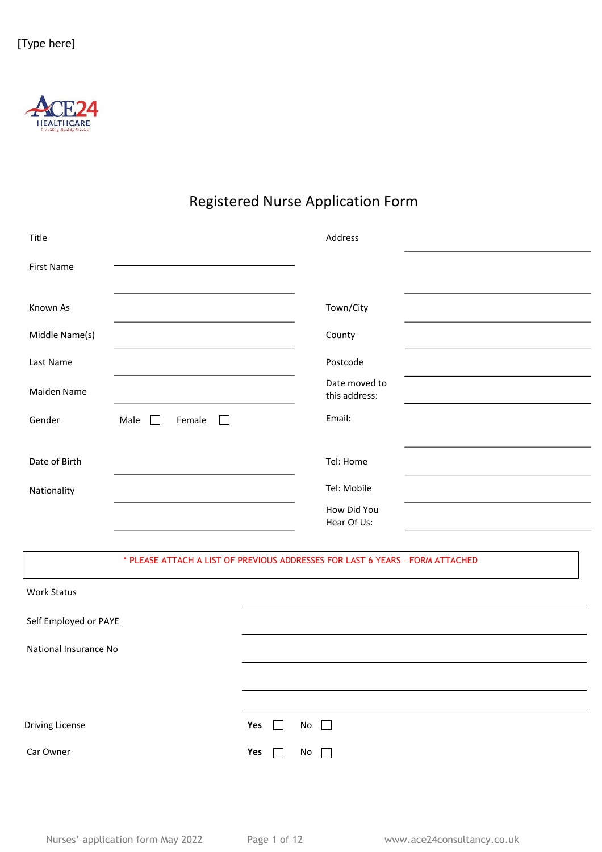

### Registered Nurse Application Form

| Title                 |                                     | Address                                                                       |  |
|-----------------------|-------------------------------------|-------------------------------------------------------------------------------|--|
| <b>First Name</b>     |                                     |                                                                               |  |
| Known As              |                                     | Town/City                                                                     |  |
| Middle Name(s)        |                                     | County                                                                        |  |
| Last Name             |                                     | Postcode                                                                      |  |
| Maiden Name           |                                     | Date moved to<br>this address:                                                |  |
| Gender                | Female<br>$\Box$<br>Male<br>$\perp$ | Email:                                                                        |  |
| Date of Birth         |                                     | Tel: Home                                                                     |  |
| Nationality           |                                     | Tel: Mobile                                                                   |  |
|                       |                                     | How Did You<br>Hear Of Us:                                                    |  |
|                       |                                     | * PLEASE ATTACH A LIST OF PREVIOUS ADDRESSES FOR LAST 6 YEARS - FORM ATTACHED |  |
| <b>Work Status</b>    |                                     |                                                                               |  |
| Self Employed or PAYE |                                     |                                                                               |  |
| National Insurance No |                                     |                                                                               |  |
|                       |                                     |                                                                               |  |
| Driving License       |                                     | Yes<br>No<br>$\mathbf{L}$                                                     |  |
|                       |                                     |                                                                               |  |

Car Owner **Yes** No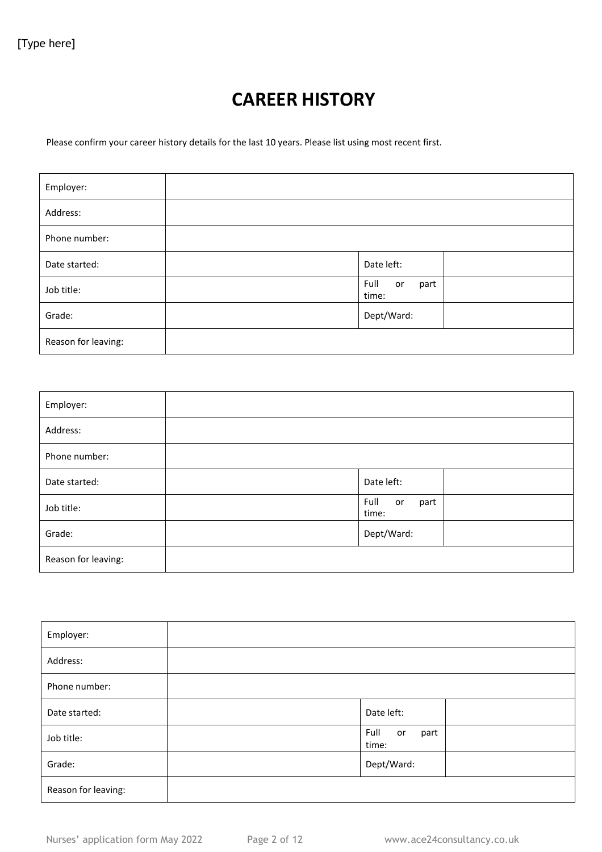## **CAREER HISTORY**

Please confirm your career history details for the last 10 years. Please list using most recent first.

| Employer:           |                             |
|---------------------|-----------------------------|
| Address:            |                             |
| Phone number:       |                             |
| Date started:       | Date left:                  |
| Job title:          | Full<br>part<br>or<br>time: |
| Grade:              | Dept/Ward:                  |
| Reason for leaving: |                             |

| Employer:           |                             |
|---------------------|-----------------------------|
| Address:            |                             |
| Phone number:       |                             |
| Date started:       | Date left:                  |
| Job title:          | Full<br>part<br>or<br>time: |
| Grade:              | Dept/Ward:                  |
| Reason for leaving: |                             |

| Employer:           |                             |
|---------------------|-----------------------------|
| Address:            |                             |
| Phone number:       |                             |
| Date started:       | Date left:                  |
| Job title:          | Full<br>part<br>or<br>time: |
| Grade:              | Dept/Ward:                  |
| Reason for leaving: |                             |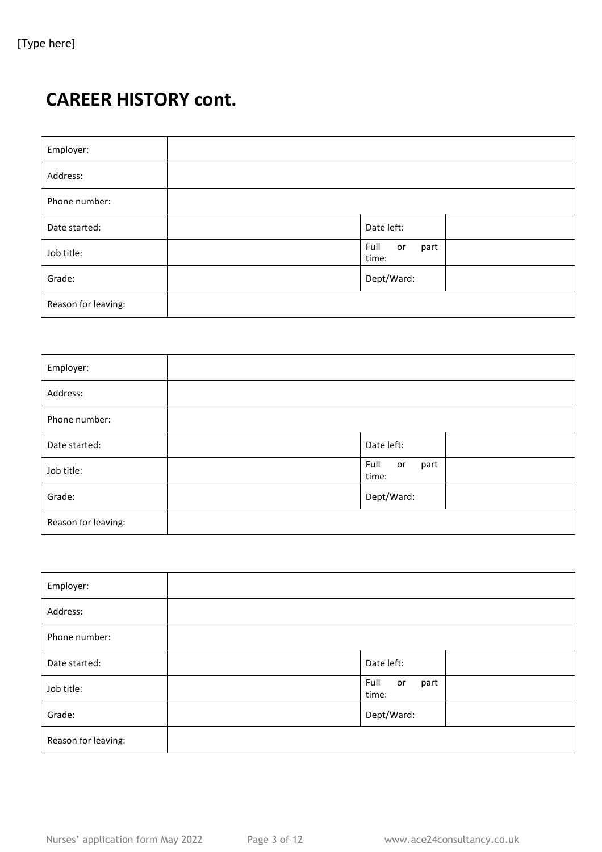# **CAREER HISTORY cont.**

| Employer:           |                             |
|---------------------|-----------------------------|
| Address:            |                             |
| Phone number:       |                             |
| Date started:       | Date left:                  |
| Job title:          | Full<br>part<br>or<br>time: |
| Grade:              | Dept/Ward:                  |
| Reason for leaving: |                             |

| Employer:           |                             |
|---------------------|-----------------------------|
| Address:            |                             |
| Phone number:       |                             |
| Date started:       | Date left:                  |
| Job title:          | Full<br>part<br>or<br>time: |
| Grade:              | Dept/Ward:                  |
| Reason for leaving: |                             |

| Employer:           |                             |
|---------------------|-----------------------------|
| Address:            |                             |
| Phone number:       |                             |
| Date started:       | Date left:                  |
| Job title:          | Full<br>part<br>or<br>time: |
| Grade:              | Dept/Ward:                  |
| Reason for leaving: |                             |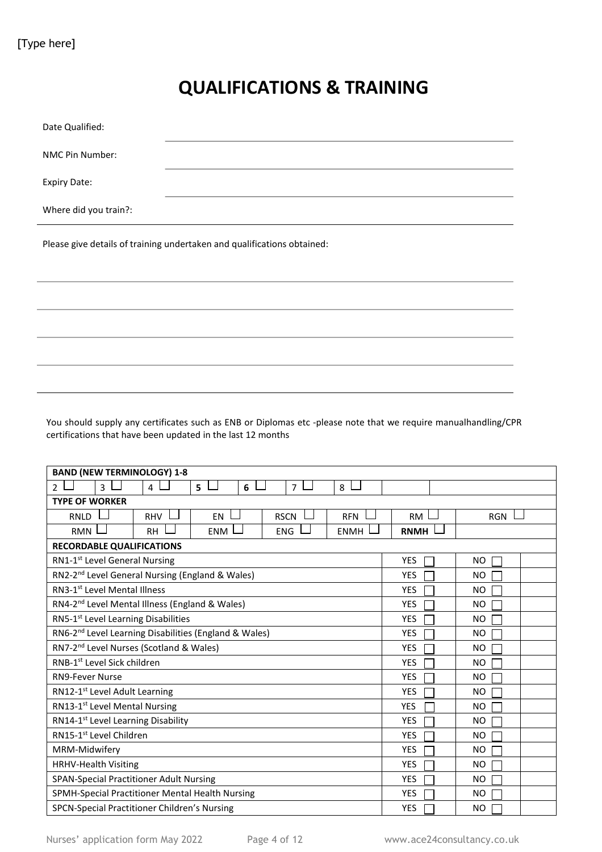## **QUALIFICATIONS & TRAINING**

| Date Qualified:                                                         |  |  |  |
|-------------------------------------------------------------------------|--|--|--|
| NMC Pin Number:                                                         |  |  |  |
| <b>Expiry Date:</b>                                                     |  |  |  |
| Where did you train?:                                                   |  |  |  |
| Please give details of training undertaken and qualifications obtained: |  |  |  |
|                                                                         |  |  |  |
|                                                                         |  |  |  |
|                                                                         |  |  |  |
|                                                                         |  |  |  |

You should supply any certificates such as ENB or Diplomas etc -please note that we require manualhandling/CPR certifications that have been updated in the last 12 months

| <b>BAND (NEW TERMINOLOGY) 1-8</b>                                   |             |                |  |  |  |
|---------------------------------------------------------------------|-------------|----------------|--|--|--|
| 3<br>5<br>4<br>6<br>$\overline{7}$<br>8<br>$\mathfrak{p}$           |             |                |  |  |  |
| <b>TYPE OF WORKER</b>                                               |             |                |  |  |  |
| <b>RHV</b><br><b>EN</b><br><b>RSCN</b><br><b>RFN</b><br><b>RNLD</b> | <b>RM</b>   | <b>RGN</b>     |  |  |  |
| <b>RMN</b><br><b>RH</b><br><b>ENM</b><br><b>ENG</b><br><b>ENMH</b>  | <b>RNMH</b> |                |  |  |  |
| <b>RECORDABLE QUALIFICATIONS</b>                                    |             |                |  |  |  |
| RN1-1 <sup>st</sup> Level General Nursing                           | <b>YES</b>  | NO.            |  |  |  |
| RN2-2 <sup>nd</sup> Level General Nursing (England & Wales)         | <b>YES</b>  | <b>NO</b>      |  |  |  |
| RN3-1 <sup>st</sup> Level Mental Illness                            | <b>YES</b>  | N <sub>O</sub> |  |  |  |
| RN4-2 <sup>nd</sup> Level Mental Illness (England & Wales)          | <b>YES</b>  | N <sub>O</sub> |  |  |  |
| RN5-1 <sup>st</sup> Level Learning Disabilities                     | <b>YES</b>  | <b>NO</b>      |  |  |  |
| RN6-2 <sup>nd</sup> Level Learning Disabilities (England & Wales)   | <b>YES</b>  | NO.            |  |  |  |
| RN7-2 <sup>nd</sup> Level Nurses (Scotland & Wales)                 | <b>YES</b>  | NO.            |  |  |  |
| RNB-1 <sup>st</sup> Level Sick children                             | <b>YES</b>  | NO.            |  |  |  |
| <b>RN9-Fever Nurse</b>                                              | <b>YES</b>  | NO.            |  |  |  |
| RN12-1 <sup>st</sup> Level Adult Learning                           | <b>YES</b>  | N <sub>O</sub> |  |  |  |
| RN13-1 <sup>st</sup> Level Mental Nursing                           | <b>YES</b>  | N <sub>O</sub> |  |  |  |
| RN14-1 <sup>st</sup> Level Learning Disability                      | <b>YES</b>  | <b>NO</b>      |  |  |  |
| RN15-1 <sup>st</sup> Level Children                                 | <b>YES</b>  | NO.            |  |  |  |
| MRM-Midwifery                                                       | <b>YES</b>  | <b>NO</b>      |  |  |  |
| HRHV-Health Visiting                                                | <b>YES</b>  | NO.            |  |  |  |
| <b>SPAN-Special Practitioner Adult Nursing</b>                      | <b>YES</b>  | NO.            |  |  |  |
| SPMH-Special Practitioner Mental Health Nursing                     | <b>YES</b>  | NO.            |  |  |  |
| SPCN-Special Practitioner Children's Nursing                        | <b>YES</b>  | NO.            |  |  |  |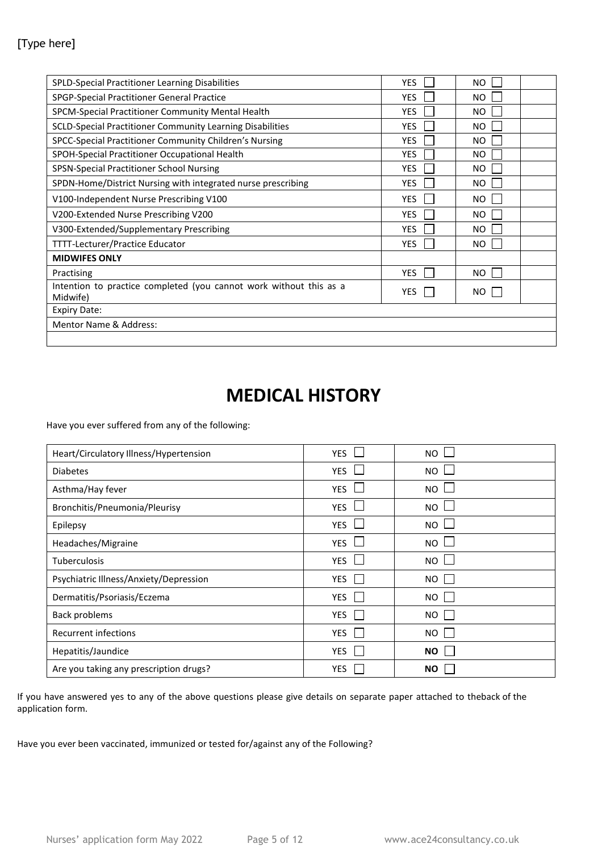#### [Type here]

| SPLD-Special Practitioner Learning Disabilities                                | <b>YES</b> | NO.       |  |
|--------------------------------------------------------------------------------|------------|-----------|--|
| SPGP-Special Practitioner General Practice                                     | <b>YES</b> | NO.       |  |
| SPCM-Special Practitioner Community Mental Health                              | <b>YES</b> | NO.       |  |
| SCLD-Special Practitioner Community Learning Disabilities                      | <b>YES</b> | <b>NO</b> |  |
| SPCC-Special Practitioner Community Children's Nursing                         | <b>YES</b> | <b>NO</b> |  |
| SPOH-Special Practitioner Occupational Health                                  | <b>YES</b> | <b>NO</b> |  |
| SPSN-Special Practitioner School Nursing                                       | <b>YES</b> | <b>NO</b> |  |
| SPDN-Home/District Nursing with integrated nurse prescribing                   | <b>YES</b> | <b>NO</b> |  |
| V100-Independent Nurse Prescribing V100                                        | <b>YES</b> | NO.       |  |
| V200-Extended Nurse Prescribing V200                                           | <b>YES</b> | NO.       |  |
| V300-Extended/Supplementary Prescribing                                        | <b>YES</b> | NO.       |  |
| TTTT-Lecturer/Practice Educator                                                | <b>YES</b> | NO.       |  |
| <b>MIDWIFES ONLY</b>                                                           |            |           |  |
| Practising                                                                     | <b>YES</b> | NO.       |  |
| Intention to practice completed (you cannot work without this as a<br>Midwife) | <b>YES</b> | NO.       |  |
| <b>Expiry Date:</b>                                                            |            |           |  |
| <b>Mentor Name &amp; Address:</b>                                              |            |           |  |
|                                                                                |            |           |  |

### **MEDICAL HISTORY**

Have you ever suffered from any of the following:

| Heart/Circulatory Illness/Hypertension | <b>YES</b> | <b>NO</b> |
|----------------------------------------|------------|-----------|
| <b>Diabetes</b>                        | <b>YES</b> | <b>NO</b> |
| Asthma/Hay fever                       | <b>YES</b> | <b>NO</b> |
| Bronchitis/Pneumonia/Pleurisy          | <b>YES</b> | <b>NO</b> |
| Epilepsy                               | <b>YES</b> | NO.       |
| Headaches/Migraine                     | <b>YES</b> | NO.       |
| <b>Tuberculosis</b>                    | <b>YES</b> | NO.       |
| Psychiatric Illness/Anxiety/Depression | YES        | NO.       |
| Dermatitis/Psoriasis/Eczema            | YES        | NO.       |
| Back problems                          | YES        | NO.       |
| Recurrent infections                   | <b>YES</b> | NO.       |
| Hepatitis/Jaundice                     | <b>YES</b> | <b>NO</b> |
| Are you taking any prescription drugs? | <b>YES</b> | ΝO        |

If you have answered yes to any of the above questions please give details on separate paper attached to theback of the application form.

Have you ever been vaccinated, immunized or tested for/against any of the Following?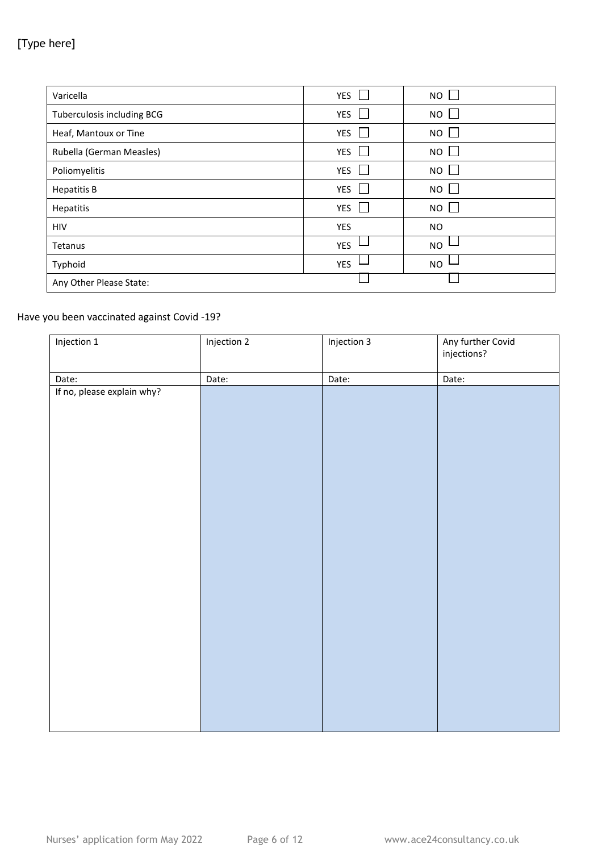### [Type here]

| Varicella                  | <b>YES</b> | <b>NO</b>  |
|----------------------------|------------|------------|
| Tuberculosis including BCG | <b>YES</b> | NO         |
| Heaf, Mantoux or Tine      | <b>YES</b> | NO I       |
| Rubella (German Measles)   | <b>YES</b> | NO         |
| Poliomyelitis              | <b>YES</b> | $NO \perp$ |
| <b>Hepatitis B</b>         | <b>YES</b> | NO         |
| Hepatitis                  | <b>YES</b> | NO         |
| HIV                        | YES        | NO.        |
| Tetanus                    | <b>YES</b> | <b>NO</b>  |
| Typhoid                    | <b>YES</b> | <b>NO</b>  |
| Any Other Please State:    |            |            |

#### Have you been vaccinated against Covid -19?

| Injection 1                | Injection 2 | Injection 3 | Any further Covid<br>injections? |
|----------------------------|-------------|-------------|----------------------------------|
| Date:                      | Date:       | Date:       | Date:                            |
| If no, please explain why? |             |             |                                  |
|                            |             |             |                                  |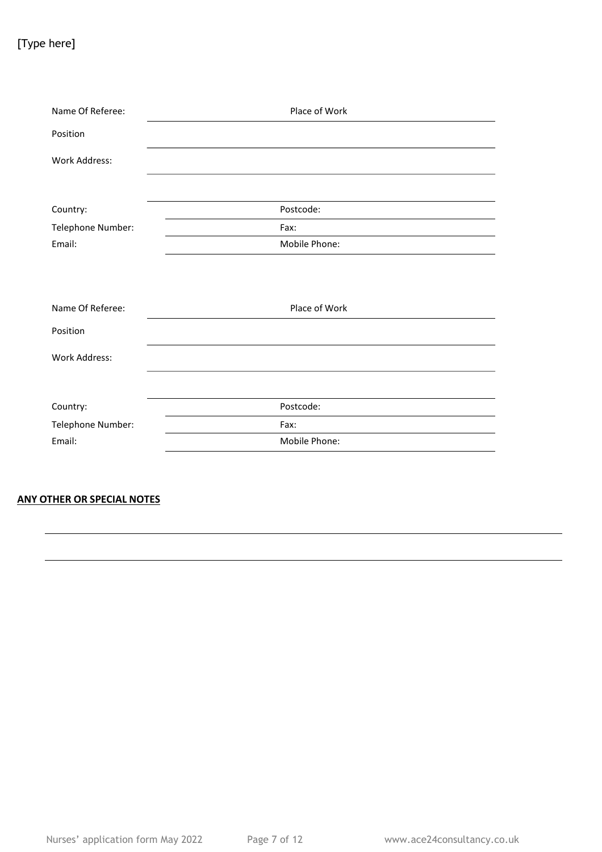### [Type here]

| Name Of Referee:     | Place of Work |
|----------------------|---------------|
| Position             |               |
| Work Address:        |               |
|                      |               |
| Country:             | Postcode:     |
| Telephone Number:    | Fax:          |
| Email:               | Mobile Phone: |
|                      |               |
| Name Of Referee:     | Place of Work |
| Position             |               |
| <b>Work Address:</b> |               |
|                      |               |
| Country:             | Postcode:     |
| Telephone Number:    | Fax:          |
| Email:               | Mobile Phone: |

#### **ANY OTHER OR SPECIAL NOTES**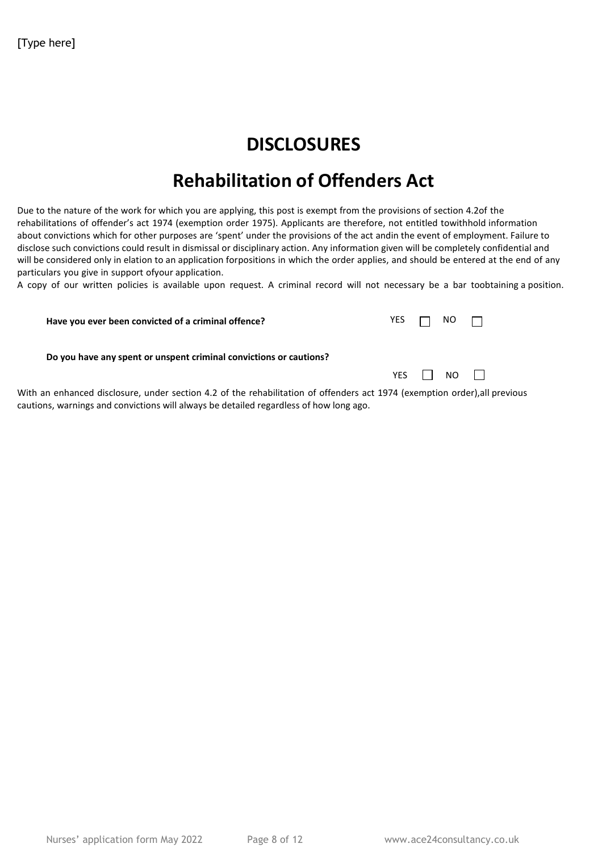# **DISCLOSURES**

# **Rehabilitation of Offenders Act**

Due to the nature of the work for which you are applying, this post is exempt from the provisions of section 4.2of the rehabilitations of offender's act 1974 (exemption order 1975). Applicants are therefore, not entitled towithhold information about convictions which for other purposes are 'spent' under the provisions of the act andin the event of employment. Failure to disclose such convictions could result in dismissal or disciplinary action. Any information given will be completely confidential and will be considered only in elation to an application forpositions in which the order applies, and should be entered at the end of any particulars you give in support ofyour application.

A copy of our written policies is available upon request. A criminal record will not necessary be a bar toobtaining a position.

| Have you ever been convicted of a criminal offence?                                                                                                                                                                 | YES. | $NO$ $\Box$  |  |
|---------------------------------------------------------------------------------------------------------------------------------------------------------------------------------------------------------------------|------|--------------|--|
| Do you have any spent or unspent criminal convictions or cautions?                                                                                                                                                  |      |              |  |
|                                                                                                                                                                                                                     |      | YES II NO II |  |
| With an enhanced disclosure, under section 4.2 of the rehabilitation of offenders act 1974 (exemption order),all previous<br>cautions, warnings and convictions will always be detailed regardless of how long ago. |      |              |  |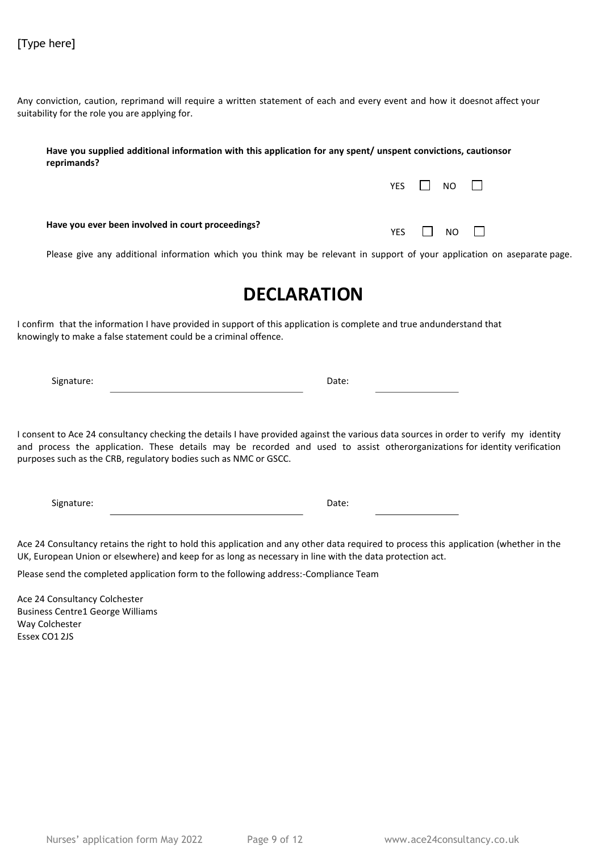Any conviction, caution, reprimand will require a written statement of each and every event and how it doesnot affect your suitability for the role you are applying for.

| Have you supplied additional information with this application for any spent/ unspent convictions, cautionsor<br>reprimands? |              |  |  |
|------------------------------------------------------------------------------------------------------------------------------|--------------|--|--|
|                                                                                                                              | YES II NO II |  |  |
| Have you ever been involved in court proceedings?                                                                            | YFS.<br>NO.  |  |  |

Please give any additional information which you think may be relevant in support of your application on aseparate page.

### **DECLARATION**

I confirm that the information I have provided in support of this application is complete and true andunderstand that knowingly to make a false statement could be a criminal offence.

Signature: Date:

I consent to Ace 24 consultancy checking the details I have provided against the various data sources in order to verify my identity and process the application. These details may be recorded and used to assist otherorganizations for identity verification purposes such as the CRB, regulatory bodies such as NMC or GSCC.

Signature: Date:

Ace 24 Consultancy retains the right to hold this application and any other data required to process this application (whether in the UK, European Union or elsewhere) and keep for as long as necessary in line with the data protection act.

Please send the completed application form to the following address:-Compliance Team

Ace 24 Consultancy Colchester Business Centre1 George Williams Way Colchester Essex CO1 2JS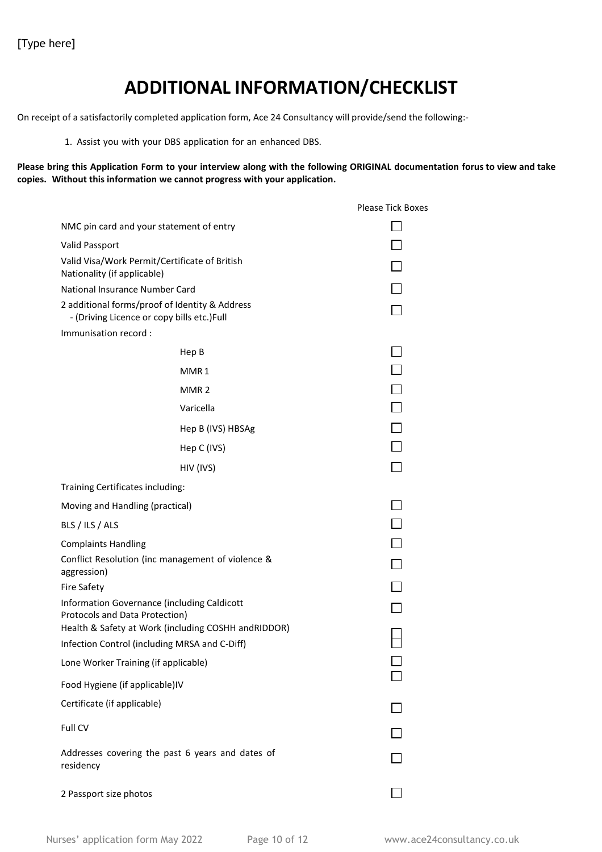# **ADDITIONAL INFORMATION/CHECKLIST**

On receipt of a satisfactorily completed application form, Ace 24 Consultancy will provide/send the following:-

1. Assist you with your DBS application for an enhanced DBS.

Please bring this Application Form to your interview along with the following ORIGINAL documentation forus to view and take **copies. Without this information we cannot progress with your application.**

|                                                                                                                                      |                                                                                              | <b>Please Tick Boxes</b> |
|--------------------------------------------------------------------------------------------------------------------------------------|----------------------------------------------------------------------------------------------|--------------------------|
|                                                                                                                                      | NMC pin card and your statement of entry                                                     |                          |
| Valid Passport                                                                                                                       |                                                                                              |                          |
| Valid Visa/Work Permit/Certificate of British<br>Nationality (if applicable)                                                         |                                                                                              |                          |
|                                                                                                                                      | National Insurance Number Card                                                               |                          |
|                                                                                                                                      | 2 additional forms/proof of Identity & Address<br>- (Driving Licence or copy bills etc.)Full |                          |
| Immunisation record:                                                                                                                 |                                                                                              |                          |
|                                                                                                                                      | Hep B                                                                                        |                          |
|                                                                                                                                      | MMR1                                                                                         |                          |
|                                                                                                                                      | MMR <sub>2</sub>                                                                             | $\Box$                   |
|                                                                                                                                      | Varicella                                                                                    |                          |
|                                                                                                                                      | Hep B (IVS) HBSAg                                                                            |                          |
|                                                                                                                                      | Hep C (IVS)                                                                                  |                          |
|                                                                                                                                      | HIV (IVS)                                                                                    |                          |
| Training Certificates including:                                                                                                     |                                                                                              |                          |
| Moving and Handling (practical)                                                                                                      |                                                                                              |                          |
| BLS / ILS / ALS                                                                                                                      |                                                                                              |                          |
| <b>Complaints Handling</b>                                                                                                           |                                                                                              |                          |
| aggression)                                                                                                                          | Conflict Resolution (inc management of violence &                                            |                          |
| <b>Fire Safety</b>                                                                                                                   |                                                                                              |                          |
| Information Governance (including Caldicott<br>Protocols and Data Protection)<br>Health & Safety at Work (including COSHH andRIDDOR) |                                                                                              |                          |
|                                                                                                                                      | Infection Control (including MRSA and C-Diff)                                                |                          |
| Lone Worker Training (if applicable)                                                                                                 |                                                                                              |                          |
| Food Hygiene (if applicable)IV                                                                                                       |                                                                                              |                          |
| Certificate (if applicable)                                                                                                          |                                                                                              |                          |
| Full CV                                                                                                                              |                                                                                              |                          |
| residency                                                                                                                            | Addresses covering the past 6 years and dates of                                             |                          |
| 2 Passport size photos                                                                                                               |                                                                                              |                          |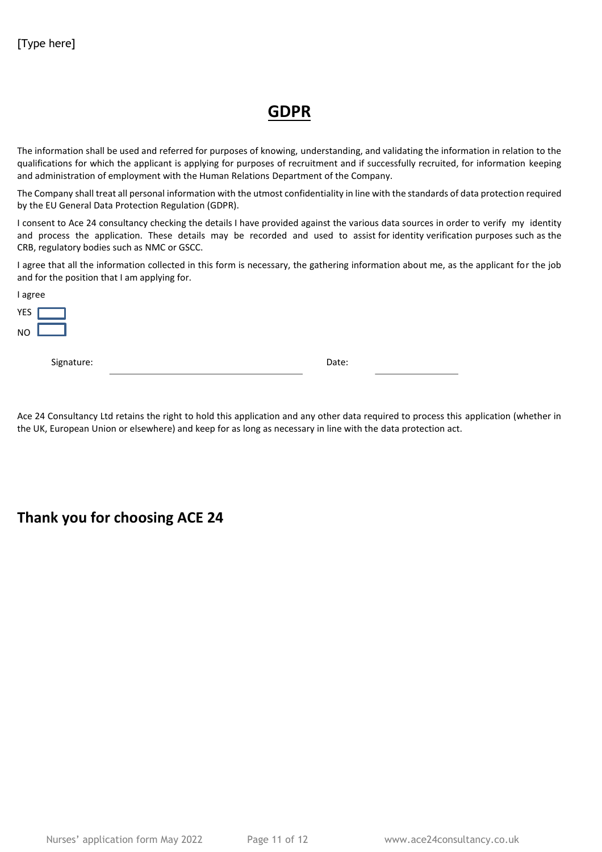### **GDPR**

The information shall be used and referred for purposes of knowing, understanding, and validating the information in relation to the qualifications for which the applicant is applying for purposes of recruitment and if successfully recruited, for information keeping and administration of employment with the Human Relations Department of the Company.

The Company shall treat all personal information with the utmost confidentiality in line with the standards of data protection required by the EU General Data Protection Regulation (GDPR).

I consent to Ace 24 consultancy checking the details I have provided against the various data sources in order to verify my identity and process the application. These details may be recorded and used to assist for identity verification purposes such as the CRB, regulatory bodies such as NMC or GSCC.

I agree that all the information collected in this form is necessary, the gathering information about me, as the applicant for the job and for the position that I am applying for.

| I agree    |       |  |
|------------|-------|--|
| <b>YES</b> |       |  |
| <b>NO</b>  |       |  |
| Signature: | Date: |  |
|            |       |  |

Ace 24 Consultancy Ltd retains the right to hold this application and any other data required to process this application (whether in the UK, European Union or elsewhere) and keep for as long as necessary in line with the data protection act.

**Thank you for choosing ACE 24**